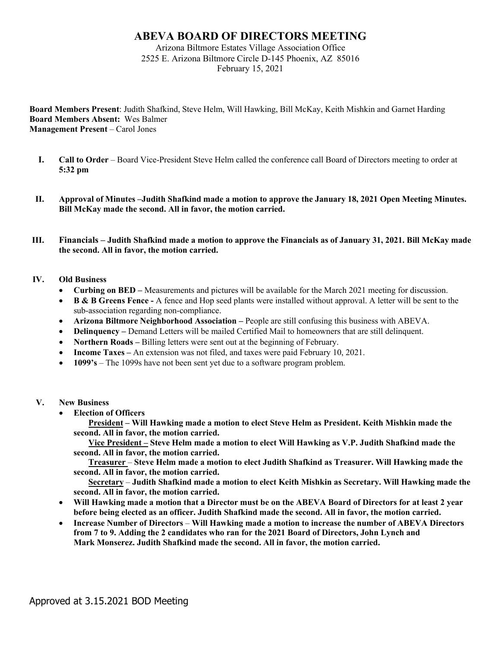# **ABEVA BOARD OF DIRECTORS MEETING**

Arizona Biltmore Estates Village Association Office 2525 E. Arizona Biltmore Circle D-145 Phoenix, AZ 85016 February 15, 2021

**Board Members Present**: Judith Shafkind, Steve Helm, Will Hawking, Bill McKay, Keith Mishkin and Garnet Harding **Board Members Absent:** Wes Balmer **Management Present** – Carol Jones

- **I. Call to Order** Board Vice-President Steve Helm called the conference call Board of Directors meeting to order at **5:32 pm**
- **II. Approval of Minutes –Judith Shafkind made a motion to approve the January 18, 2021 Open Meeting Minutes. Bill McKay made the second. All in favor, the motion carried.**
- **III. Financials – Judith Shafkind made a motion to approve the Financials as of January 31, 2021. Bill McKay made the second. All in favor, the motion carried.**

## **IV. Old Business**

- **Curbing on BED –** Measurements and pictures will be available for the March 2021 meeting for discussion.
- **B & B Greens Fence -** A fence and Hop seed plants were installed without approval. A letter will be sent to the sub-association regarding non-compliance.
- **Arizona Biltmore Neighborhood Association –** People are still confusing this business with ABEVA.
- **Delinquency** Demand Letters will be mailed Certified Mail to homeowners that are still delinquent.
- **Northern Roads** Billing letters were sent out at the beginning of February.
- **Income Taxes –** An extension was not filed, and taxes were paid February 10, 2021.
- **1099's** The 1099s have not been sent yet due to a software program problem.

#### **V. New Business**

• **Election of Officers**

**President – Will Hawking made a motion to elect Steve Helm as President. Keith Mishkin made the second. All in favor, the motion carried.**

**Vice President – Steve Helm made a motion to elect Will Hawking as V.P. Judith Shafkind made the second. All in favor, the motion carried.**

**Treasurer** – **Steve Helm made a motion to elect Judith Shafkind as Treasurer. Will Hawking made the second. All in favor, the motion carried.**

**Secretary** – **Judith Shafkind made a motion to elect Keith Mishkin as Secretary. Will Hawking made the second. All in favor, the motion carried.**

- **Will Hawking made a motion that a Director must be on the ABEVA Board of Directors for at least 2 year before being elected as an officer. Judith Shafkind made the second. All in favor, the motion carried.**
- **Increase Number of Directors Will Hawking made a motion to increase the number of ABEVA Directors from 7 to 9. Adding the 2 candidates who ran for the 2021 Board of Directors, John Lynch and Mark Monserez. Judith Shafkind made the second. All in favor, the motion carried.**